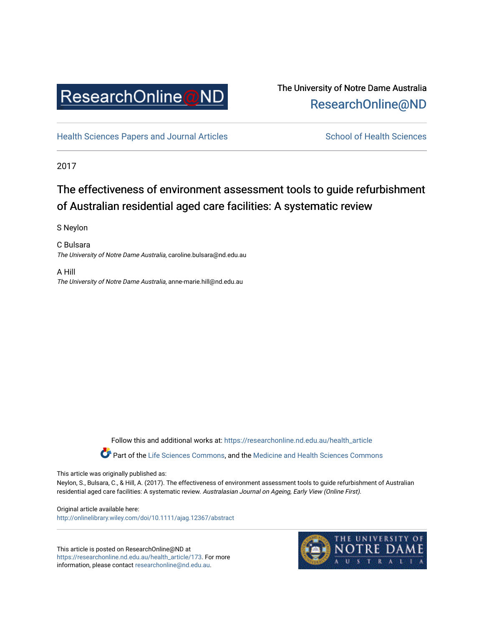

## The University of Notre Dame Australia [ResearchOnline@ND](https://researchonline.nd.edu.au/)

[Health Sciences Papers and Journal Articles](https://researchonline.nd.edu.au/health_article) School of Health Sciences

2017

# The effectiveness of environment assessment tools to guide refurbishment of Australian residential aged care facilities: A systematic review

S Neylon

C Bulsara The University of Notre Dame Australia, caroline.bulsara@nd.edu.au

A Hill The University of Notre Dame Australia, anne-marie.hill@nd.edu.au

Follow this and additional works at: [https://researchonline.nd.edu.au/health\\_article](https://researchonline.nd.edu.au/health_article?utm_source=researchonline.nd.edu.au%2Fhealth_article%2F173&utm_medium=PDF&utm_campaign=PDFCoverPages)

Part of the [Life Sciences Commons](http://network.bepress.com/hgg/discipline/1016?utm_source=researchonline.nd.edu.au%2Fhealth_article%2F173&utm_medium=PDF&utm_campaign=PDFCoverPages), and the Medicine and Health Sciences Commons

This article was originally published as:

Neylon, S., Bulsara, C., & Hill, A. (2017). The effectiveness of environment assessment tools to guide refurbishment of Australian residential aged care facilities: A systematic review. Australasian Journal on Ageing, Early View (Online First).

Original article available here: <http://onlinelibrary.wiley.com/doi/10.1111/ajag.12367/abstract>

This article is posted on ResearchOnline@ND at [https://researchonline.nd.edu.au/health\\_article/173](https://researchonline.nd.edu.au/health_article/173). For more information, please contact [researchonline@nd.edu.au.](mailto:researchonline@nd.edu.au)

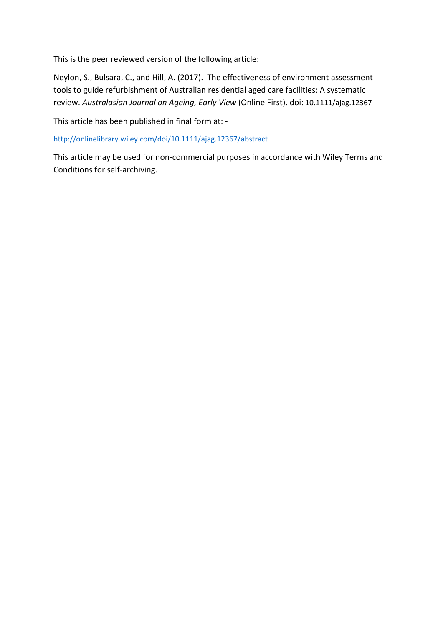This is the peer reviewed version of the following article:

Neylon, S., Bulsara, C., and Hill, A. (2017). The effectiveness of environment assessment tools to guide refurbishment of Australian residential aged care facilities: A systematic review. *Australasian Journal on Ageing, Early View* (Online First). doi: 10.1111/ajag.12367

This article has been published in final form at: -

<http://onlinelibrary.wiley.com/doi/10.1111/ajag.12367/abstract>

This article may be used for non-commercial purposes in accordance with Wiley Terms and Conditions for self-archiving.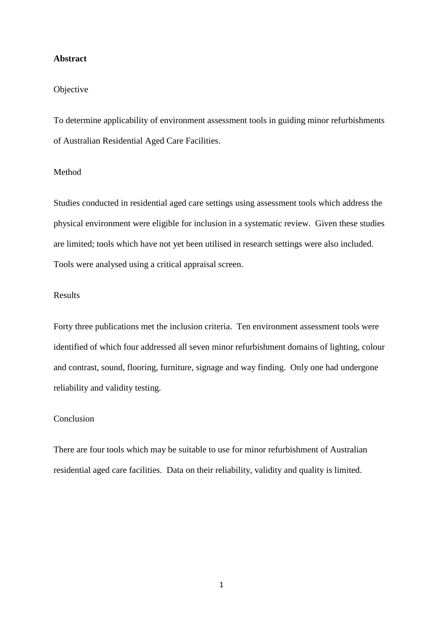#### **Abstract**

#### Objective

To determine applicability of environment assessment tools in guiding minor refurbishments of Australian Residential Aged Care Facilities.

### Method

Studies conducted in residential aged care settings using assessment tools which address the physical environment were eligible for inclusion in a systematic review. Given these studies are limited; tools which have not yet been utilised in research settings were also included. Tools were analysed using a critical appraisal screen.

### Results

Forty three publications met the inclusion criteria. Ten environment assessment tools were identified of which four addressed all seven minor refurbishment domains of lighting, colour and contrast, sound, flooring, furniture, signage and way finding. Only one had undergone reliability and validity testing.

## Conclusion

There are four tools which may be suitable to use for minor refurbishment of Australian residential aged care facilities. Data on their reliability, validity and quality is limited.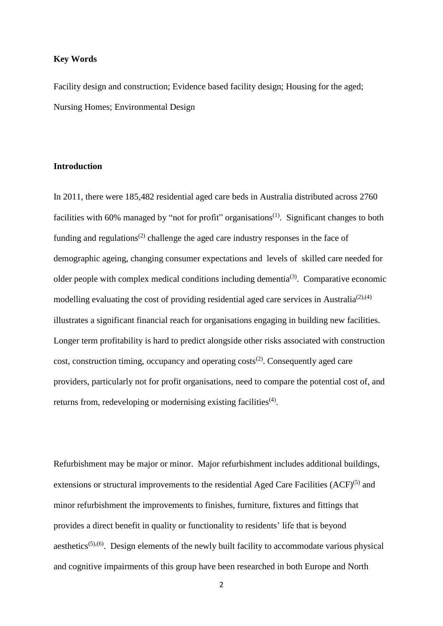#### **Key Words**

Facility design and construction; Evidence based facility design; Housing for the aged; Nursing Homes; Environmental Design

#### **Introduction**

In 2011, there were 185,482 residential aged care beds in Australia distributed across 2760 facilities with 60% managed by "not for profit" organisations<sup>[\(1\)](#page-15-0)</sup>. Significant changes to both funding and regulations<sup>[\(2\)](#page-15-1)</sup> challenge the aged care industry responses in the face of demographic ageing, changing consumer expectations and levels of skilled care needed for older people with complex medical conditions including dementia $(3)$ . Comparative economic modelling evaluating the cost of providing residential aged care services in Australia<sup>[\(2\)](#page-15-1),[\(4\)](#page-15-3)</sup> illustrates a significant financial reach for organisations engaging in building new facilities. Longer term profitability is hard to predict alongside other risks associated with construction  $cost$ , construction timing, occupancy and operating  $costs<sup>(2)</sup>$  $costs<sup>(2)</sup>$  $costs<sup>(2)</sup>$ . Consequently aged care providers, particularly not for profit organisations, need to compare the potential cost of, and returns from, redeveloping or modernising existing facilities<sup>[\(4\)](#page-15-3)</sup>.

Refurbishment may be major or minor. Major refurbishment includes additional buildings, extensions or structural improvements to the residential Aged Care Facilities  $(ACF)^{(5)}$  $(ACF)^{(5)}$  $(ACF)^{(5)}$  and minor refurbishment the improvements to finishes, furniture, fixtures and fittings that provides a direct benefit in quality or functionality to residents' life that is beyond aesthetics<sup> $(5)$ , $(6)$ </sup>. Design elements of the newly built facility to accommodate various physical and cognitive impairments of this group have been researched in both Europe and North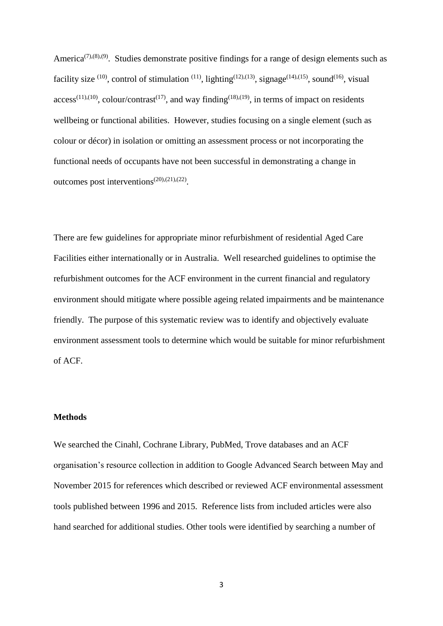America<sup> $(7)$ , $(8)$ , $(9)$ . Studies demonstrate positive findings for a range of design elements such as</sup> facility size <sup>[\(10\)](#page-15-9)</sup>, control of stimulation <sup>[\(11\)](#page-15-10)</sup>, lighting<sup>[\(12\)](#page-15-11)[,\(13\)](#page-15-12)</sup>, signage<sup>[\(14\)](#page-15-13),[\(15\)](#page-15-14)</sup>, sound<sup>[\(16\)](#page-15-15)</sup>, visual  $access^{(11),(10)}$  $access^{(11),(10)}$  $access^{(11),(10)}$  $access^{(11),(10)}$ , colour/contrast<sup>[\(17\)](#page-15-16)</sup>, and way finding<sup>[\(18\)](#page-15-17)[,\(19\)](#page-15-18)</sup>, in terms of impact on residents wellbeing or functional abilities. However, studies focusing on a single element (such as colour or décor) in isolation or omitting an assessment process or not incorporating the functional needs of occupants have not been successful in demonstrating a change in outcomes post interventions<sup>[\(20\)](#page-15-19)[,\(21\)](#page-15-20),[\(22\)](#page-15-21)</sup>.

There are few guidelines for appropriate minor refurbishment of residential Aged Care Facilities either internationally or in Australia. Well researched guidelines to optimise the refurbishment outcomes for the ACF environment in the current financial and regulatory environment should mitigate where possible ageing related impairments and be maintenance friendly. The purpose of this systematic review was to identify and objectively evaluate environment assessment tools to determine which would be suitable for minor refurbishment of ACF.

#### **Methods**

We searched the Cinahl, Cochrane Library, PubMed, Trove databases and an ACF organisation's resource collection in addition to Google Advanced Search between May and November 2015 for references which described or reviewed ACF environmental assessment tools published between 1996 and 2015. Reference lists from included articles were also hand searched for additional studies. Other tools were identified by searching a number of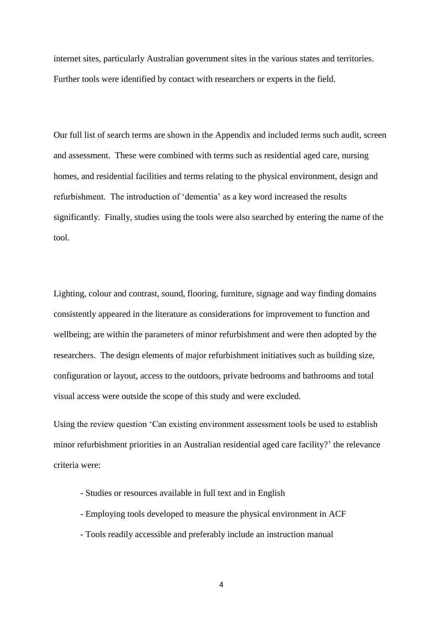internet sites, particularly Australian government sites in the various states and territories. Further tools were identified by contact with researchers or experts in the field.

Our full list of search terms are shown in the Appendix and included terms such audit, screen and assessment. These were combined with terms such as residential aged care, nursing homes, and residential facilities and terms relating to the physical environment, design and refurbishment. The introduction of 'dementia' as a key word increased the results significantly. Finally, studies using the tools were also searched by entering the name of the tool.

Lighting, colour and contrast, sound, flooring, furniture, signage and way finding domains consistently appeared in the literature as considerations for improvement to function and wellbeing; are within the parameters of minor refurbishment and were then adopted by the researchers. The design elements of major refurbishment initiatives such as building size, configuration or layout, access to the outdoors, private bedrooms and bathrooms and total visual access were outside the scope of this study and were excluded.

Using the review question 'Can existing environment assessment tools be used to establish minor refurbishment priorities in an Australian residential aged care facility?' the relevance criteria were:

- Studies or resources available in full text and in English
- Employing tools developed to measure the physical environment in ACF
- Tools readily accessible and preferably include an instruction manual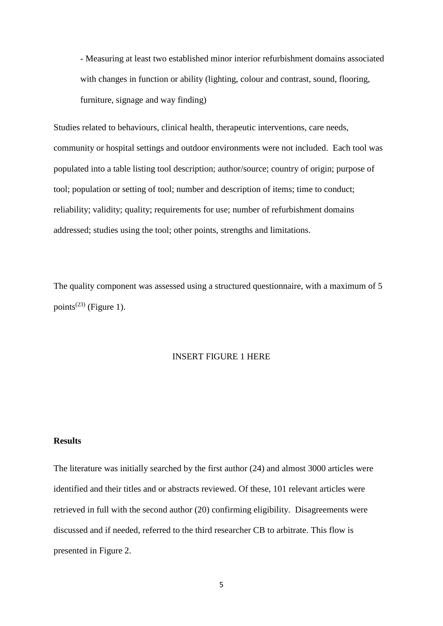- Measuring at least two established minor interior refurbishment domains associated with changes in function or ability (lighting, colour and contrast, sound, flooring, furniture, signage and way finding)

Studies related to behaviours, clinical health, therapeutic interventions, care needs, community or hospital settings and outdoor environments were not included. Each tool was populated into a table listing tool description; author/source; country of origin; purpose of tool; population or setting of tool; number and description of items; time to conduct; reliability; validity; quality; requirements for use; number of refurbishment domains addressed; studies using the tool; other points, strengths and limitations.

The quality component was assessed using a structured questionnaire, with a maximum of 5 points<sup> $(23)$ </sup> (Figure 1).

#### INSERT FIGURE 1 HERE

#### **Results**

The literature was initially searched by the first author [\(24\)](#page-16-1) and almost 3000 articles were identified and their titles and or abstracts reviewed. Of these, 101 relevant articles were retrieved in full with the second author [\(20\)](#page-15-19) confirming eligibility. Disagreements were discussed and if needed, referred to the third researcher CB to arbitrate. This flow is presented in Figure 2.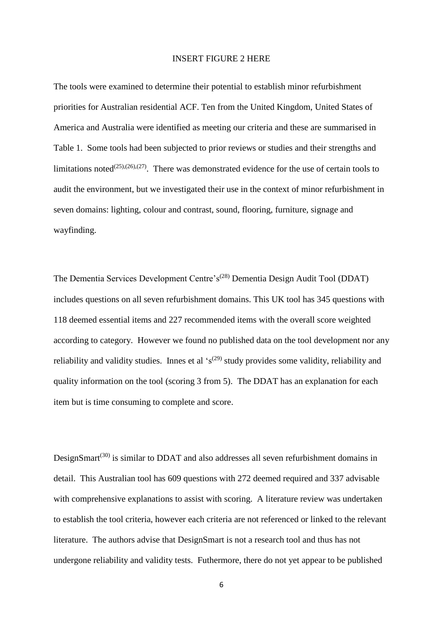#### INSERT FIGURE 2 HERE

The tools were examined to determine their potential to establish minor refurbishment priorities for Australian residential ACF. Ten from the United Kingdom, United States of America and Australia were identified as meeting our criteria and these are summarised in Table 1. Some tools had been subjected to prior reviews or studies and their strengths and limitations noted<sup>[\(25\)](#page-16-2),[\(26\)](#page-16-3),[\(27\)](#page-16-4)</sup>. There was demonstrated evidence for the use of certain tools to audit the environment, but we investigated their use in the context of minor refurbishment in seven domains: lighting, colour and contrast, sound, flooring, furniture, signage and wayfinding.

The Dementia Services Development Centre's<sup>[\(28\)](#page-16-5)</sup> Dementia Design Audit Tool (DDAT) includes questions on all seven refurbishment domains. This UK tool has 345 questions with 118 deemed essential items and 227 recommended items with the overall score weighted according to category. However we found no published data on the tool development nor any reliability and validity studies. Innes et al  $\mathfrak{s}^{(29)}$  $\mathfrak{s}^{(29)}$  $\mathfrak{s}^{(29)}$  study provides some validity, reliability and quality information on the tool (scoring 3 from 5). The DDAT has an explanation for each item but is time consuming to complete and score.

DesignSmart<sup>[\(30\)](#page-16-7)</sup> is similar to DDAT and also addresses all seven refurbishment domains in detail. This Australian tool has 609 questions with 272 deemed required and 337 advisable with comprehensive explanations to assist with scoring. A literature review was undertaken to establish the tool criteria, however each criteria are not referenced or linked to the relevant literature. The authors advise that DesignSmart is not a research tool and thus has not undergone reliability and validity tests. Futhermore, there do not yet appear to be published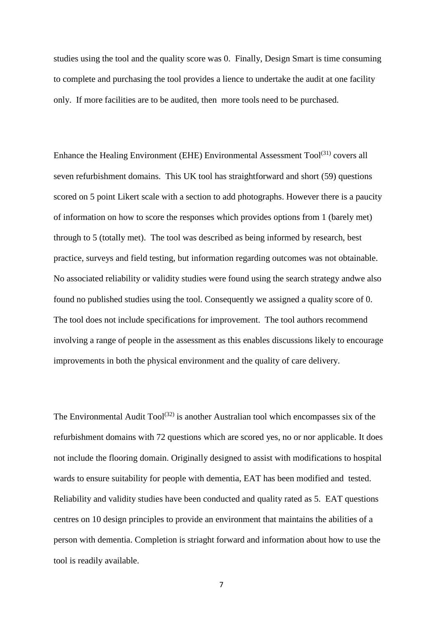studies using the tool and the quality score was 0. Finally, Design Smart is time consuming to complete and purchasing the tool provides a lience to undertake the audit at one facility only. If more facilities are to be audited, then more tools need to be purchased.

Enhance the Healing Environment (EHE) Environmental Assessment Tool<sup>[\(31\)](#page-16-8)</sup> covers all seven refurbishment domains. This UK tool has straightforward and short (59) questions scored on 5 point Likert scale with a section to add photographs. However there is a paucity of information on how to score the responses which provides options from 1 (barely met) through to 5 (totally met). The tool was described as being informed by research, best practice, surveys and field testing, but information regarding outcomes was not obtainable. No associated reliability or validity studies were found using the search strategy andwe also found no published studies using the tool. Consequently we assigned a quality score of 0. The tool does not include specifications for improvement. The tool authors recommend involving a range of people in the assessment as this enables discussions likely to encourage improvements in both the physical environment and the quality of care delivery.

The Environmental Audit  $\text{Tool}^{(32)}$  $\text{Tool}^{(32)}$  $\text{Tool}^{(32)}$  is another Australian tool which encompasses six of the refurbishment domains with 72 questions which are scored yes, no or nor applicable. It does not include the flooring domain. Originally designed to assist with modifications to hospital wards to ensure suitability for people with dementia, EAT has been modified and tested. Reliability and validity studies have been conducted and quality rated as 5. EAT questions centres on 10 design principles to provide an environment that maintains the abilities of a person with dementia. Completion is striaght forward and information about how to use the tool is readily available.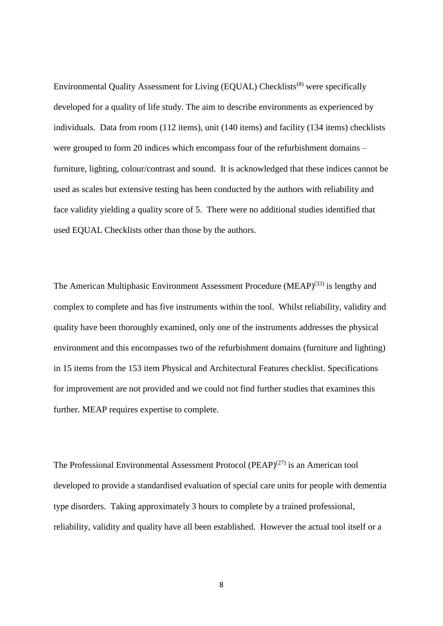Environmental Quality Assessment for Living (EQUAL) Checklists[\(8\)](#page-15-7) were specifically developed for a quality of life study. The aim to describe environments as experienced by individuals. Data from room (112 items), unit (140 items) and facility (134 items) checklists were grouped to form 20 indices which encompass four of the refurbishment domains – furniture, lighting, colour/contrast and sound. It is acknowledged that these indices cannot be used as scales but extensive testing has been conducted by the authors with reliability and face validity yielding a quality score of 5. There were no additional studies identified that used EQUAL Checklists other than those by the authors.

The American Multiphasic Environment Assessment Procedure  $(MEAP)^{(33)}$  $(MEAP)^{(33)}$  $(MEAP)^{(33)}$  is lengthy and complex to complete and has five instruments within the tool. Whilst reliability, validity and quality have been thoroughly examined, only one of the instruments addresses the physical environment and this encompasses two of the refurbishment domains (furniture and lighting) in 15 items from the 153 item Physical and Architectural Features checklist. Specifications for improvement are not provided and we could not find further studies that examines this further. MEAP requires expertise to complete.

The Professional Environmental Assessment Protocol (PEAP)<sup> $(27)$ </sup> is an American tool developed to provide a standardised evaluation of special care units for people with dementia type disorders. Taking approximately 3 hours to complete by a trained professional, reliability, validity and quality have all been established. However the actual tool itself or a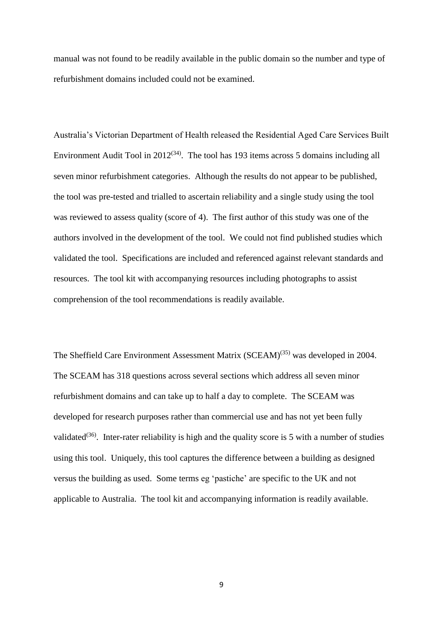manual was not found to be readily available in the public domain so the number and type of refurbishment domains included could not be examined.

Australia's Victorian Department of Health released the Residential Aged Care Services Built Environment Audit Tool in  $2012^{(34)}$  $2012^{(34)}$  $2012^{(34)}$ . The tool has 193 items across 5 domains including all seven minor refurbishment categories. Although the results do not appear to be published, the tool was pre-tested and trialled to ascertain reliability and a single study using the tool was reviewed to assess quality (score of 4). The first author of this study was one of the authors involved in the development of the tool. We could not find published studies which validated the tool. Specifications are included and referenced against relevant standards and resources. The tool kit with accompanying resources including photographs to assist comprehension of the tool recommendations is readily available.

The Sheffield Care Environment Assessment Matrix (SCEAM)<sup>[\(35\)](#page-16-12)</sup> was developed in 2004. The SCEAM has 318 questions across several sections which address all seven minor refurbishment domains and can take up to half a day to complete. The SCEAM was developed for research purposes rather than commercial use and has not yet been fully validated<sup>[\(36\)](#page-16-13)</sup>. Inter-rater reliability is high and the quality score is 5 with a number of studies using this tool. Uniquely, this tool captures the difference between a building as designed versus the building as used. Some terms eg 'pastiche' are specific to the UK and not applicable to Australia. The tool kit and accompanying information is readily available.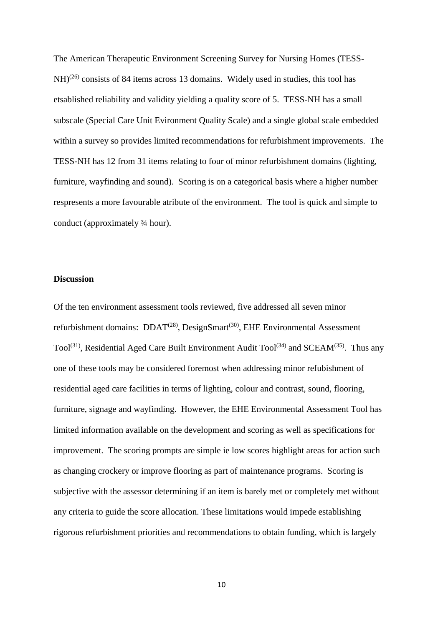The American Therapeutic Environment Screening Survey for Nursing Homes (TESS- $NH<sup>(26)</sup>$  $NH<sup>(26)</sup>$  $NH<sup>(26)</sup>$  consists of 84 items across 13 domains. Widely used in studies, this tool has etsablished reliability and validity yielding a quality score of 5. TESS-NH has a small subscale (Special Care Unit Evironment Quality Scale) and a single global scale embedded within a survey so provides limited recommendations for refurbishment improvements. The TESS-NH has 12 from 31 items relating to four of minor refurbishment domains (lighting, furniture, wayfinding and sound). Scoring is on a categorical basis where a higher number respresents a more favourable atribute of the environment. The tool is quick and simple to conduct (approximately ¾ hour).

#### **Discussion**

Of the ten environment assessment tools reviewed, five addressed all seven minor refurbishment domains:  $DDAT^{(28)}$  $DDAT^{(28)}$  $DDAT^{(28)}$ , DesignSmart<sup>[\(30\)](#page-16-7)</sup>, EHE Environmental Assessment Tool<sup>[\(31\)](#page-16-8)</sup>, Residential Aged Care Built Environment Audit Tool<sup>[\(34\)](#page-16-11)</sup> and SCEAM<sup>[\(35\)](#page-16-12)</sup>. Thus any one of these tools may be considered foremost when addressing minor refubishment of residential aged care facilities in terms of lighting, colour and contrast, sound, flooring, furniture, signage and wayfinding. However, the EHE Environmental Assessment Tool has limited information available on the development and scoring as well as specifications for improvement. The scoring prompts are simple ie low scores highlight areas for action such as changing crockery or improve flooring as part of maintenance programs. Scoring is subjective with the assessor determining if an item is barely met or completely met without any criteria to guide the score allocation. These limitations would impede establishing rigorous refurbishment priorities and recommendations to obtain funding, which is largely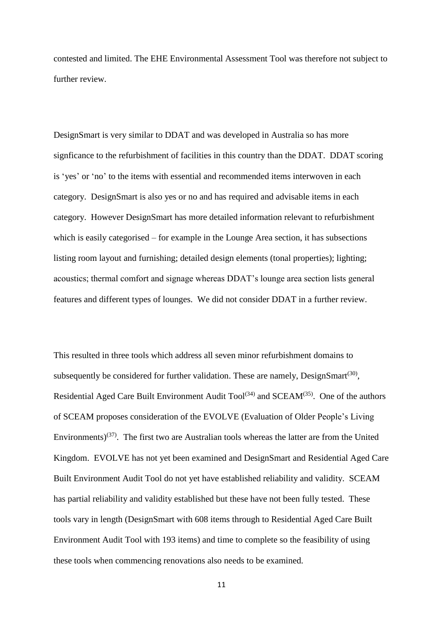contested and limited. The EHE Environmental Assessment Tool was therefore not subject to further review

DesignSmart is very similar to DDAT and was developed in Australia so has more signficance to the refurbishment of facilities in this country than the DDAT. DDAT scoring is 'yes' or 'no' to the items with essential and recommended items interwoven in each category. DesignSmart is also yes or no and has required and advisable items in each category. However DesignSmart has more detailed information relevant to refurbishment which is easily categorised – for example in the Lounge Area section, it has subsections listing room layout and furnishing; detailed design elements (tonal properties); lighting; acoustics; thermal comfort and signage whereas DDAT's lounge area section lists general features and different types of lounges. We did not consider DDAT in a further review.

This resulted in three tools which address all seven minor refurbishment domains to subsequently be considered for further validation. These are namely,  $DesignSmart^{(30)}$  $DesignSmart^{(30)}$  $DesignSmart^{(30)}$ , Residential Aged Care Built Environment Audit  $Tool^{(34)}$  $Tool^{(34)}$  $Tool^{(34)}$  and  $SCEAM^{(35)}$  $SCEAM^{(35)}$  $SCEAM^{(35)}$ . One of the authors of SCEAM proposes consideration of the EVOLVE (Evaluation of Older People's Living Environments)<sup>[\(37\)](#page-16-14)</sup>. The first two are Australian tools whereas the latter are from the United Kingdom. EVOLVE has not yet been examined and DesignSmart and Residential Aged Care Built Environment Audit Tool do not yet have established reliability and validity. SCEAM has partial reliability and validity established but these have not been fully tested. These tools vary in length (DesignSmart with 608 items through to Residential Aged Care Built Environment Audit Tool with 193 items) and time to complete so the feasibility of using these tools when commencing renovations also needs to be examined.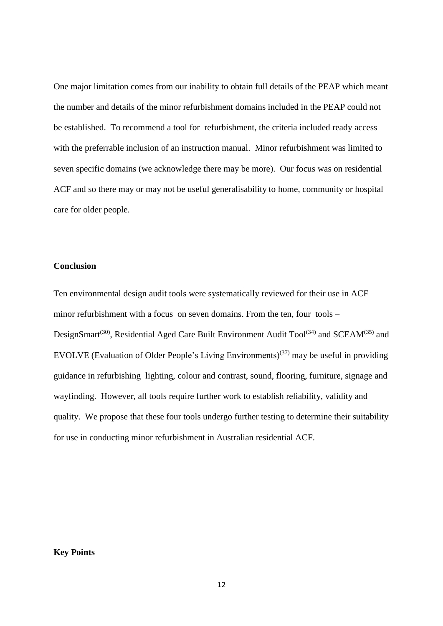One major limitation comes from our inability to obtain full details of the PEAP which meant the number and details of the minor refurbishment domains included in the PEAP could not be established. To recommend a tool for refurbishment, the criteria included ready access with the preferrable inclusion of an instruction manual. Minor refurbishment was limited to seven specific domains (we acknowledge there may be more). Our focus was on residential ACF and so there may or may not be useful generalisability to home, community or hospital care for older people.

## **Conclusion**

Ten environmental design audit tools were systematically reviewed for their use in ACF minor refurbishment with a focus on seven domains. From the ten, four tools – DesignSmart<sup>[\(30\)](#page-16-7)</sup>, Residential Aged Care Built Environment Audit Tool<sup>[\(34\)](#page-16-11)</sup> and SCEAM<sup>[\(35\)](#page-16-12)</sup> and EVOLVE (Evaluation of Older People's Living Environments)<sup>[\(37\)](#page-16-14)</sup> may be useful in providing guidance in refurbishing lighting, colour and contrast, sound, flooring, furniture, signage and wayfinding. However, all tools require further work to establish reliability, validity and quality. We propose that these four tools undergo further testing to determine their suitability for use in conducting minor refurbishment in Australian residential ACF.

#### **Key Points**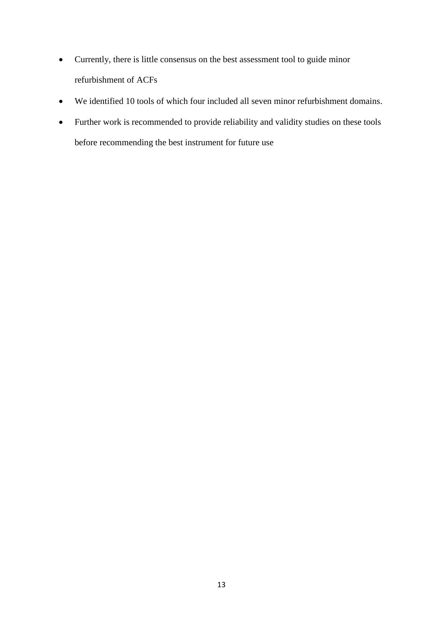- Currently, there is little consensus on the best assessment tool to guide minor refurbishment of ACFs
- We identified 10 tools of which four included all seven minor refurbishment domains.
- Further work is recommended to provide reliability and validity studies on these tools before recommending the best instrument for future use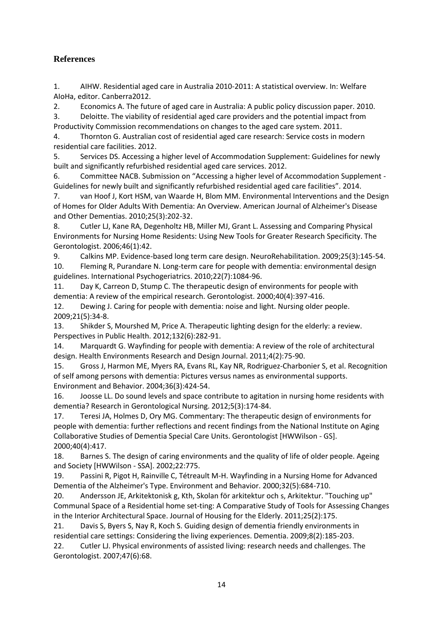## **References**

<span id="page-15-0"></span>1. AIHW. Residential aged care in Australia 2010-2011: A statistical overview. In: Welfare AIoHa, editor. Canberra2012.

<span id="page-15-1"></span>2. Economics A. The future of aged care in Australia: A public policy discussion paper. 2010.

<span id="page-15-2"></span>3. Deloitte. The viability of residential aged care providers and the potential impact from Productivity Commission recommendations on changes to the aged care system. 2011.

<span id="page-15-3"></span>4. Thornton G. Australian cost of residential aged care research: Service costs in modern residential care facilities. 2012.

<span id="page-15-4"></span>5. Services DS. Accessing a higher level of Accommodation Supplement: Guidelines for newly built and significantly refurbished residential aged care services. 2012.

<span id="page-15-5"></span>6. Committee NACB. Submission on "Accessing a higher level of Accommodation Supplement - Guidelines for newly built and significantly refurbished residential aged care facilities". 2014.

<span id="page-15-6"></span>7. van Hoof J, Kort HSM, van Waarde H, Blom MM. Environmental Interventions and the Design of Homes for Older Adults With Dementia: An Overview. American Journal of Alzheimer's Disease and Other Dementias. 2010;25(3):202-32.

<span id="page-15-7"></span>8. Cutler LJ, Kane RA, Degenholtz HB, Miller MJ, Grant L. Assessing and Comparing Physical Environments for Nursing Home Residents: Using New Tools for Greater Research Specificity. The Gerontologist. 2006;46(1):42.

<span id="page-15-9"></span><span id="page-15-8"></span>9. Calkins MP. Evidence-based long term care design. NeuroRehabilitation. 2009;25(3):145-54. 10. Fleming R, Purandare N. Long-term care for people with dementia: environmental design guidelines. International Psychogeriatrics. 2010;22(7):1084-96.

<span id="page-15-10"></span>11. Day K, Carreon D, Stump C. The therapeutic design of environments for people with dementia: A review of the empirical research. Gerontologist. 2000;40(4):397-416.

<span id="page-15-11"></span>12. Dewing J. Caring for people with dementia: noise and light. Nursing older people. 2009;21(5):34-8.

<span id="page-15-12"></span>13. Shikder S, Mourshed M, Price A. Therapeutic lighting design for the elderly: a review. Perspectives in Public Health. 2012;132(6):282-91.

<span id="page-15-13"></span>14. Marquardt G. Wayfinding for people with dementia: A review of the role of architectural design. Health Environments Research and Design Journal. 2011;4(2):75-90.

<span id="page-15-14"></span>15. Gross J, Harmon ME, Myers RA, Evans RL, Kay NR, Rodriguez-Charbonier S, et al. Recognition of self among persons with dementia: Pictures versus names as environmental supports. Environment and Behavior. 2004;36(3):424-54.

<span id="page-15-15"></span>16. Joosse LL. Do sound levels and space contribute to agitation in nursing home residents with dementia? Research in Gerontological Nursing. 2012;5(3):174-84.

<span id="page-15-16"></span>17. Teresi JA, Holmes D, Ory MG. Commentary: The therapeutic design of environments for people with dementia: further reflections and recent findings from the National Institute on Aging Collaborative Studies of Dementia Special Care Units. Gerontologist [HWWilson - GS]. 2000;40(4):417.

<span id="page-15-17"></span>18. Barnes S. The design of caring environments and the quality of life of older people. Ageing and Society [HWWilson - SSA]. 2002;22:775.

<span id="page-15-18"></span>19. Passini R, Pigot H, Rainville C, Tétreault M-H. Wayfinding in a Nursing Home for Advanced Dementia of the Alzheimer's Type. Environment and Behavior. 2000;32(5):684-710.

<span id="page-15-19"></span>20. Andersson JE, Arkitektonisk g, Kth, Skolan för arkitektur och s, Arkitektur. "Touching up" Communal Space of a Residential home set-ting: A Comparative Study of Tools for Assessing Changes in the Interior Architectural Space. Journal of Housing for the Elderly. 2011;25(2):175.

<span id="page-15-20"></span>21. Davis S, Byers S, Nay R, Koch S. Guiding design of dementia friendly environments in residential care settings: Considering the living experiences. Dementia. 2009;8(2):185-203.

<span id="page-15-21"></span>22. Cutler LJ. Physical environments of assisted living: research needs and challenges. The Gerontologist. 2007;47(6):68.